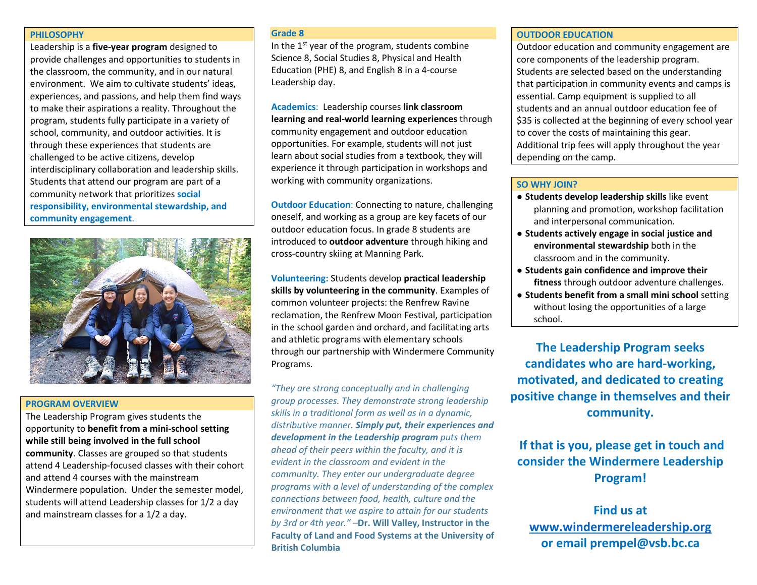#### **PHILOSOPHY**

Leadership is a **five-year program** designed to provide challenges and opportunities to students in the classroom, the community, and in our natural environment. We aim to cultivate students' ideas, experiences, and passions, and help them find ways to make their aspirations a reality. Throughout the program, students fully participate in a variety of school, community, and outdoor activities. It is through these experiences that students are challenged to be active citizens, develop interdisciplinary collaboration and leadership skills. Students that attend our program are part of a community network that prioritizes **social responsibility, environmental stewardship, and community engagement**.



#### **PROGRAM OVERVIEW**

The Leadership Program gives students the opportunity to **benefit from a mini-school setting while still being involved in the full school community**. Classes are grouped so that students attend 4 Leadership-focused classes with their cohort and attend 4 courses with the mainstream Windermere population. Under the semester model, students will attend Leadership classes for 1/2 a day and mainstream classes for a 1/2 a day.

#### **Grade 8**

In the  $1^{st}$  year of the program, students combine Science 8, Social Studies 8, Physical and Health Education (PHE) 8, and English 8 in a 4-course Leadership day.

**Academics**: Leadership courses **link classroom learning and real-world learning experiences** through community engagement and outdoor education opportunities. For example, students will not just learn about social studies from a textbook, they will experience it through participation in workshops and working with community organizations.

**Outdoor Education**: Connecting to nature, challenging oneself, and working as a group are key facets of our outdoor education focus. In grade 8 students are introduced to **outdoor adventure** through hiking and cross-country skiing at Manning Park.

**Volunteering:** Students develop **practical leadership skills by volunteering in the community**. Examples of common volunteer projects: the Renfrew Ravine reclamation, the Renfrew Moon Festival, participation in the school garden and orchard, and facilitating arts and athletic programs with elementary schools through our partnership with Windermere Community Programs.

*"They are strong conceptually and in challenging group processes. They demonstrate strong leadership skills in a traditional form as well as in a dynamic, distributive manner. Simply put, their experiences and development in the Leadership program puts them ahead of their peers within the faculty, and it is evident in the classroom and evident in the community. They enter our undergraduate degree programs with a level of understanding of the complex connections between food, health, culture and the environment that we aspire to attain for our students by 3rd or 4th year."* –**Dr. Will Valley, Instructor in the Faculty of Land and Food Systems at the University of British Columbia**

## **OUTDOOR EDUCATION**

Outdoor education and community engagement are core components of the leadership program. Students are selected based on the understanding that participation in community events and camps is essential. Camp equipment is supplied to all students and an annual outdoor education fee of \$35 is collected at the beginning of every school year to cover the costs of maintaining this gear. Additional trip fees will apply throughout the year depending on the camp.

## **SO WHY JOIN?**

- **Students develop leadership skills** like event planning and promotion, workshop facilitation and interpersonal communication.
- **Students actively engage in social justice and environmental stewardship** both in the classroom and in the community.
- **Students gain confidence and improve their fitness** through outdoor adventure challenges.
- **Students benefit from a small mini school** setting without losing the opportunities of a large school.

**The Leadership Program seeks candidates who are hard-working, motivated, and dedicated to creating positive change in themselves and their community.**

**If that is you, please get in touch and consider the Windermere Leadership Program!**

**Find us at [www.windermereleadership.org](http://www.windermereleadership.org/) or email prempel@vsb.bc.ca**